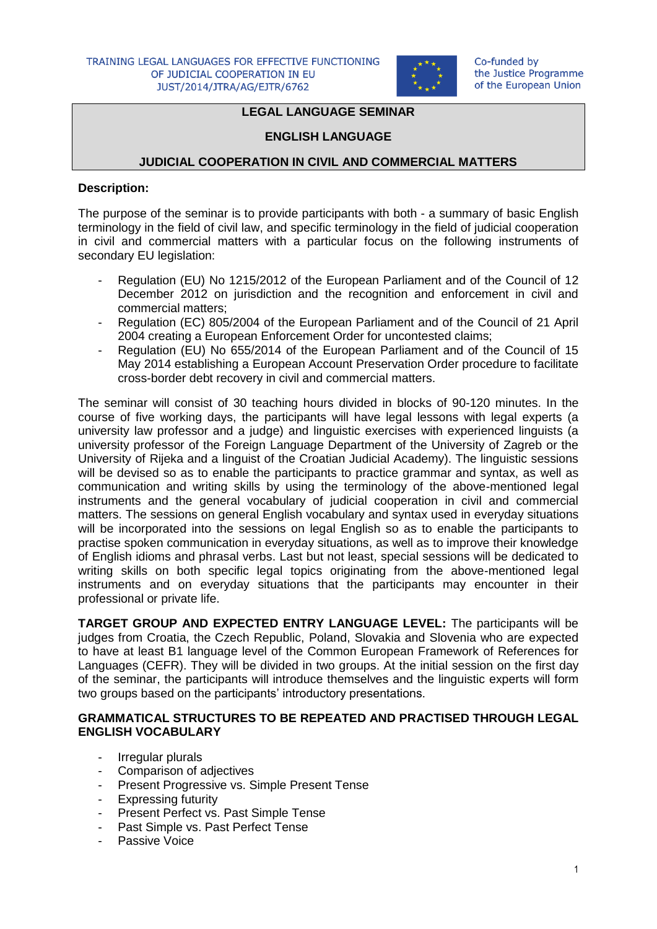

# **LEGAL LANGUAGE SEMINAR**

#### **ENGLISH LANGUAGE**

#### **JUDICIAL COOPERATION IN CIVIL AND COMMERCIAL MATTERS**

#### **Description:**

The purpose of the seminar is to provide participants with both - a summary of basic English terminology in the field of civil law, and specific terminology in the field of judicial cooperation in civil and commercial matters with a particular focus on the following instruments of secondary EU legislation:

- Regulation (EU) No 1215/2012 of the European Parliament and of the Council of 12 December 2012 on jurisdiction and the recognition and enforcement in civil and commercial matters;
- Regulation (EC) 805/2004 of the European Parliament and of the Council of 21 April 2004 creating a European Enforcement Order for uncontested claims;
- Regulation (EU) No 655/2014 of the European Parliament and of the Council of 15 May 2014 establishing a European Account Preservation Order procedure to facilitate cross-border debt recovery in civil and commercial matters.

The seminar will consist of 30 teaching hours divided in blocks of 90-120 minutes. In the course of five working days, the participants will have legal lessons with legal experts (a university law professor and a judge) and linguistic exercises with experienced linguists (a university professor of the Foreign Language Department of the University of Zagreb or the University of Rijeka and a linguist of the Croatian Judicial Academy). The linguistic sessions will be devised so as to enable the participants to practice grammar and syntax, as well as communication and writing skills by using the terminology of the above-mentioned legal instruments and the general vocabulary of judicial cooperation in civil and commercial matters. The sessions on general English vocabulary and syntax used in everyday situations will be incorporated into the sessions on legal English so as to enable the participants to practise spoken communication in everyday situations, as well as to improve their knowledge of English idioms and phrasal verbs. Last but not least, special sessions will be dedicated to writing skills on both specific legal topics originating from the above-mentioned legal instruments and on everyday situations that the participants may encounter in their professional or private life.

**TARGET GROUP AND EXPECTED ENTRY LANGUAGE LEVEL:** The participants will be judges from Croatia, the Czech Republic, Poland, Slovakia and Slovenia who are expected to have at least B1 language level of the Common European Framework of References for Languages (CEFR). They will be divided in two groups. At the initial session on the first day of the seminar, the participants will introduce themselves and the linguistic experts will form two groups based on the participants' introductory presentations.

## **GRAMMATICAL STRUCTURES TO BE REPEATED AND PRACTISED THROUGH LEGAL ENGLISH VOCABULARY**

- Irregular plurals
- Comparison of adjectives
- Present Progressive vs. Simple Present Tense
- Expressing futurity
- Present Perfect vs. Past Simple Tense
- Past Simple vs. Past Perfect Tense
- Passive Voice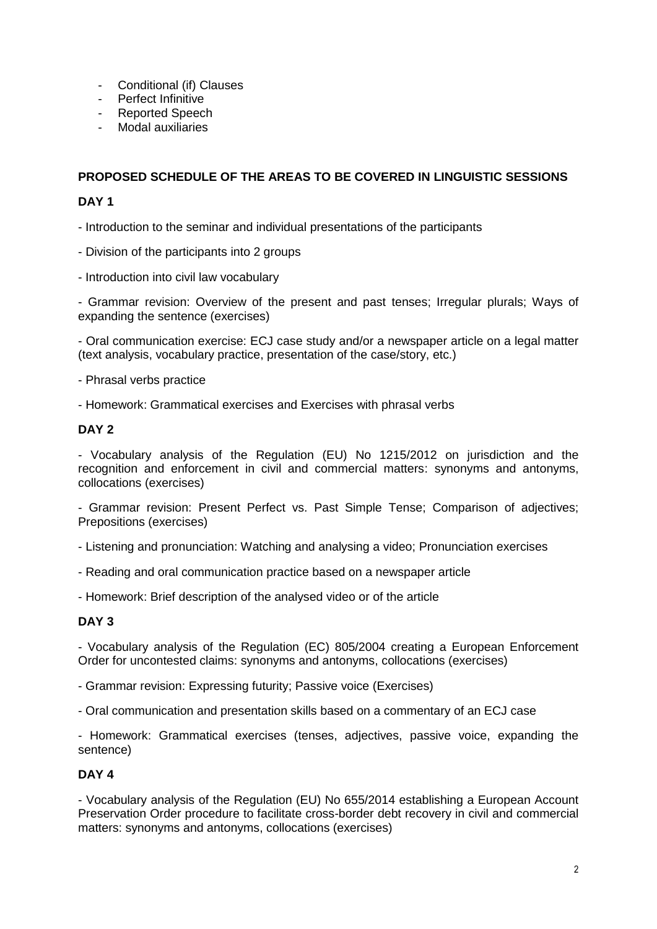- Conditional (if) Clauses
- Perfect Infinitive
- Reported Speech
- Modal auxiliaries

# **PROPOSED SCHEDULE OF THE AREAS TO BE COVERED IN LINGUISTIC SESSIONS**

# **DAY 1**

- Introduction to the seminar and individual presentations of the participants

- Division of the participants into 2 groups
- Introduction into civil law vocabulary

- Grammar revision: Overview of the present and past tenses; Irregular plurals; Ways of expanding the sentence (exercises)

- Oral communication exercise: ECJ case study and/or a newspaper article on a legal matter (text analysis, vocabulary practice, presentation of the case/story, etc.)

- Phrasal verbs practice

- Homework: Grammatical exercises and Exercises with phrasal verbs

## **DAY 2**

- Vocabulary analysis of the Regulation (EU) No 1215/2012 on jurisdiction and the recognition and enforcement in civil and commercial matters: synonyms and antonyms, collocations (exercises)

- Grammar revision: Present Perfect vs. Past Simple Tense; Comparison of adjectives; Prepositions (exercises)

- Listening and pronunciation: Watching and analysing a video; Pronunciation exercises

- Reading and oral communication practice based on a newspaper article

- Homework: Brief description of the analysed video or of the article

## **DAY 3**

- Vocabulary analysis of the Regulation (EC) 805/2004 creating a European Enforcement Order for uncontested claims: synonyms and antonyms, collocations (exercises)

- Grammar revision: Expressing futurity; Passive voice (Exercises)

- Oral communication and presentation skills based on a commentary of an ECJ case

- Homework: Grammatical exercises (tenses, adjectives, passive voice, expanding the sentence)

## **DAY 4**

- Vocabulary analysis of the Regulation (EU) No 655/2014 establishing a European Account Preservation Order procedure to facilitate cross-border debt recovery in civil and commercial matters: synonyms and antonyms, collocations (exercises)